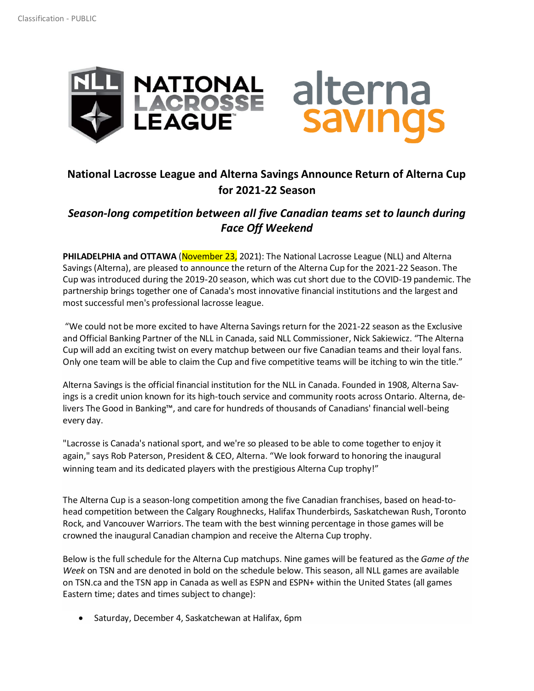

## **National Lacrosse League and Alterna Savings Announce Return of Alterna Cup for 2021-22 Season**

## *Season-long competition between all five Canadian teams set to launch during Face Off Weekend*

**PHILADELPHIA and OTTAWA** (November 23, 2021): The National Lacrosse League (NLL) and Alterna Savings (Alterna), are pleased to announce the return of the Alterna Cup for the 2021-22 Season. The Cup was introduced during the 2019-20 season, which was cut short due to the COVID-19 pandemic. The partnership brings together one of Canada's most innovative financial institutions and the largest and most successful men's professional lacrosse league.

"We could not be more excited to have Alterna Savings return for the 2021-22 season as the Exclusive and Official Banking Partner of the NLL in Canada, said NLL Commissioner, Nick Sakiewicz. "The Alterna Cup will add an exciting twist on every matchup between our five Canadian teams and their loyal fans. Only one team will be able to claim the Cup and five competitive teams will be itching to win the title."

Alterna Savings is the official financial institution for the NLL in Canada. Founded in 1908, Alterna Savings is a credit union known for its high-touch service and community roots across Ontario. Alterna, delivers The Good in Banking™, and care for hundreds of thousands of Canadians' financial well-being every day.

"Lacrosse is Canada's national sport, and we're so pleased to be able to come together to enjoy it again," says Rob Paterson, President & CEO, Alterna. "We look forward to honoring the inaugural winning team and its dedicated players with the prestigious Alterna Cup trophy!"

The Alterna Cup is a season-long competition among the five Canadian franchises, based on head-tohead competition between the Calgary Roughnecks, Halifax Thunderbirds, Saskatchewan Rush, Toronto Rock, and Vancouver Warriors. The team with the best winning percentage in those games will be crowned the inaugural Canadian champion and receive the Alterna Cup trophy.

Below is the full schedule for the Alterna Cup matchups. Nine games will be featured as the *Game of the Week* on TSN and are denoted in bold on the schedule below. This season, all NLL games are available on TSN.ca and the TSN app in Canada as well as ESPN and ESPN+ within the United States (all games Eastern time; dates and times subject to change):

• Saturday, December 4, Saskatchewan at Halifax, 6pm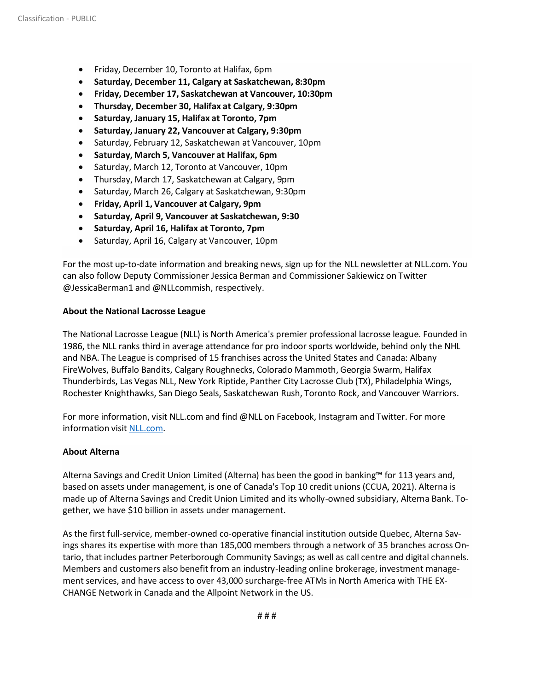- Friday, December 10, Toronto at Halifax, 6pm
- **Saturday, December 11, Calgary at Saskatchewan, 8:30pm**
- **Friday, December 17, Saskatchewan at Vancouver, 10:30pm**
- **Thursday, December 30, Halifax at Calgary, 9:30pm**
- **Saturday, January 15, Halifax at Toronto, 7pm**
- **Saturday, January 22, Vancouver at Calgary, 9:30pm**
- Saturday, February 12, Saskatchewan at Vancouver, 10pm
- **Saturday, March 5, Vancouver at Halifax, 6pm**
- Saturday, March 12, Toronto at Vancouver, 10pm
- Thursday, March 17, Saskatchewan at Calgary, 9pm
- Saturday, March 26, Calgary at Saskatchewan, 9:30pm
- **Friday, April 1, Vancouver at Calgary, 9pm**
- **Saturday, April 9, Vancouver at Saskatchewan, 9:30**
- **Saturday, April 16, Halifax at Toronto, 7pm**
- Saturday, April 16, Calgary at Vancouver, 10pm

For the most up-to-date information and breaking news, sign up for the NLL newsletter at NLL.com. You can also follow Deputy Commissioner Jessica Berman and Commissioner Sakiewicz on Twitter @JessicaBerman1 and @NLLcommish, respectively.

## **About the National Lacrosse League**

The National Lacrosse League (NLL) is North America's premier professional lacrosse league. Founded in 1986, the NLL ranks third in average attendance for pro indoor sports worldwide, behind only the NHL and NBA. The League is comprised of 15 franchises across the United States and Canada: Albany FireWolves, Buffalo Bandits, Calgary Roughnecks, Colorado Mammoth, Georgia Swarm, Halifax Thunderbirds, Las Vegas NLL, New York Riptide, Panther City Lacrosse Club (TX), Philadelphia Wings, Rochester Knighthawks, San Diego Seals, Saskatchewan Rush, Toronto Rock, and Vancouver Warriors.

For more information, visit NLL.com and find @NLL on Facebook, Instagram and Twitter. For more information visit [NLL.com.](http://www.nll.com/)

## **About Alterna**

Alterna Savings and Credit Union Limited (Alterna) has been the good in banking™ for 113 years and, based on assets under management, is one of Canada's Top 10 credit unions (CCUA, 2021). Alterna is made up of Alterna Savings and Credit Union Limited and its wholly-owned subsidiary, Alterna Bank. Together, we have \$10 billion in assets under management.

As the first full-service, member-owned co-operative financial institution outside Quebec, Alterna Savings shares its expertise with more than 185,000 members through a network of 35 branches across Ontario, that includes partner Peterborough Community Savings; as well as call centre and digital channels. Members and customers also benefit from an industry-leading online brokerage, investment management services, and have access to over 43,000 surcharge-free ATMs in North America with THE EX-CHANGE Network in Canada and the Allpoint Network in the US.